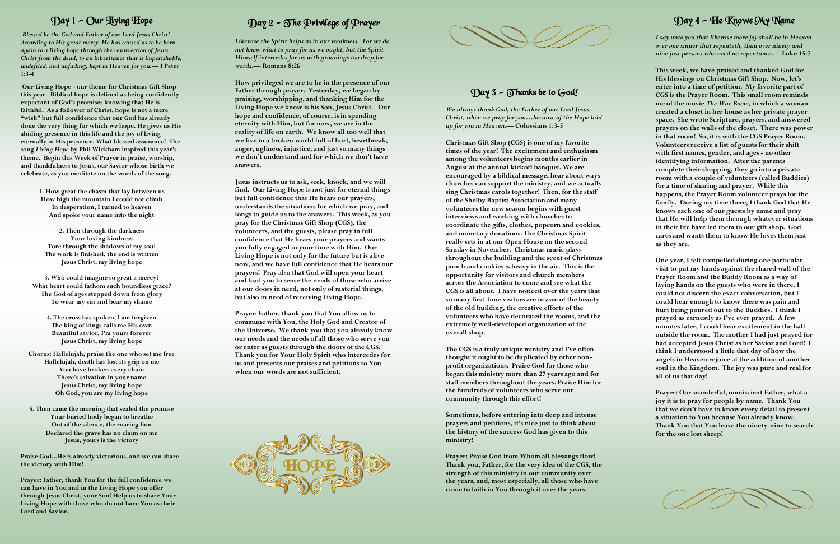*Likewise the Spirit helps us in our weakness. For we do not know what to pray for as we ought, but the Spirit Himself intercedes for us with groanings too deep for words* **. — Romans 8:26**

**How privileged we are to be in the presence of our Father through prayer. Yesterday, we began by praising, worshipping, and thanking Him for the Living Hope we know is his Son, Jesus Christ. Our hope and confidence, of course, is in spending eternity with Him, but for now, we are in the reality of life on earth. We know all too well that we live in a broken world full of hurt, heartbreak, anger, ugliness, injustice, and just so many things we don't understand and for which we don't have answers.** 

**Jesus instructs us to ask, seek, knock, and we will find. Our Living Hope is not just for eternal things but full confidence that He hears our prayers, understands the situations for which we pray, and longs to guide us to the answers. This week, as you pray for the Christmas Gift Shop (CGS), the volunteers, and the guests, please pray in full confidence that He hears your prayers and wants you fully engaged in your time with Him. Our Living Hope is not only for the future but is alive now, and we have full confidence that He hears our prayers! Pray also that God will open your heart and lead you to sense the needs of those who arrive at our doors in need, not only of material things, but also in need of receiving Living Hope.**

**Prayer: Father, thank you that You allow us to commune with You, the Holy God and Creator of the Universe. We thank you that you already know our needs and the needs of all those who serve you or enter as guests through the doors of the CGS. Thank you for Your Holy Spirit who intercedes for us and presents our praises and petitions to You when our words are not sufficient.**

*We always thank God, the Father of our Lord Jesus Christ, when we pray for you…because of the Hope laid up for you in Heaven* **. — Colossians 1:3 - 5**

**Christmas Gift Shop (CGS) is one of my favorite times of the year! The excitement and enthusiasm among the volunteers begins months earlier in August at the annual kickoff banquet. We are encouraged by a biblical message, hear about ways churches can support the ministry, and we actually sing Christmas carols together! Then, for the staff of the Shelby Baptist Association and many volunteers the new season begins with guest interviews and working with churches to coordinate the gifts, clothes, popcorn and cookies, and monetary donations. The Christmas Spirit really sets in at our Open House on the second Sunday in November. Christmas music plays throughout the building and the scent of Christmas punch and cookies is heavy in the air. This is the opportunity for visitors and church members across the Association to come and see what the CGS is all about. I have noticed over the years that so many first -time visitors are in awe of the beauty of the old building, the creative efforts of the volunteers who have decorated the rooms, and the extremely well -developed organization of the overall shop.** 

**The CGS is a truly unique ministry and I've often thought it ought to be duplicated by other non profit organizations. Praise God for those who began this ministry more than 27 years ago and for staff members throughout the years. Praise Him for the hundreds of volunteers who serve our community through this effort!**

**Sometimes, before entering into deep and intense prayers and petitions, it's nice just to think about the history of the success God has given to this ministry!** 

**Prayer: Praise God from Whom all blessings flow! Thank you, Father, for the very idea of the CGS, the strength of this ministry in our community over the years, and, most especially, all those who have come to faith in You through it over the years.**

### Day 1 - Our Living Hope

*Blessed be the God and Father of our Lord Jesus Christ! According to His great mercy, He has caused us to be born again to a living hope through the resurrection of Jesus Christ from the dead, to an inheritance that is imperishable, undefiled, and unfadin***g,** *kept in Heaven for you. —* **I Peter 1:3 - 4**

**Our Living Hope - our theme for Christmas Gift Shop this year. Biblical hope is defined as being confidently expectant of God's promises knowing that He is faithful. As a follower of Christ, hope is not a mere "wish" but full confidence that our God has already done the very thing for which we hope. He gives us His abiding presence in this life and the joy of living eternally in His presence. What blessed assurance! The song** *Living Hope* **by Phil Wickham inspired this year's theme. Begin this Week of Prayer in praise, worship, and thankfulness to Jesus, our Savior whose birth we celebrate, as you meditate on the words of the song.** 

> **1. How great the chasm that lay between us How high the mountain I could not climb In desperation, I turned to heaven And spoke your name into the night**

**2. Then through the darkness Your loving kindness Tore through the shadows of my soul The work is finished, the end is written Jesus Christ, my living hope**

**3. Who could imagine so great a mercy? What heart could fathom such boundless grace? The God of ages stepped down from glory To wear my sin and bear my shame**

> **4. The cross has spoken, I am forgiven The king of kings calls me His own Beautiful savior, I'm yours forever Jesus Christ, my living hope**

**Chorus: Hallelujah, praise the one who set me free Hallelujah, death has lost its grip on me You have broken every chain There's salvation in your name Jesus Christ, my living hope Oh God, you are my living hope**

**5. Then came the morning that sealed the promise Your buried body began to breathe Out of the silence, the roaring lion Declared the grave has no claim on me Jesus, yours is the victory**

**Praise God...He is already victorious, and we can share the victory with Him!**

**Prayer: Father, thank You for the full confidence we can have in You and in the Living Hope you offer through Jesus Christ, your Son! Help us to share Your Living Hope with those who do not have You as their Lord and Savior.**

# Day 2 – The Privilege of Prayer  $\,$

#### Day 4 - He Knows My Name

*I say unto you that likewise more joy shall be in Heaven over one sinner that repenteth, than over ninety and nine just persons who need no repentance* **. — Luke 15:7**

**This week, we have praised and thanked God for His blessings on Christmas Gift Shop. Now, let's enter into a time of petition. My favorite part of CGS is the Prayer Room. This small room reminds me of the movie** *The War Room,* **in which a woman created a closet in her house as her private prayer space. She wrote Scripture, prayers, and answered prayers on the walls of the closet. There was power in that room! So, it is with the CGS Prayer Room. Volunteers receive a list of guests for their shift with first names, gender, and ages - no other identifying information. After the parents complete their shopping, they go into a private room with a couple of volunteers (called Buddies) for a time of sharing and prayer. While this happens, the Prayer Room volunteer prays for the family. During my time there, I thank God that He knows each one of our guests by name and pray that He will help them through whatever situations in their life have led them to our gift shop. God cares and wants them to know He loves them just as they are.**

**One year, I felt compelled during one particular visit to put my hands against the shared wall of the Prayer Room and the Buddy Room as a way of laying hands on the guests who were in there. I could not discern the exact conversation, but I could hear enough to know there was pain and hurt being poured out to the Buddies. I think I prayed as earnestly as I've ever prayed. A few minutes later, I could hear excitement in the hall outside the room. The mother I had just prayed for had accepted Jesus Christ as her Savior and Lord! I think I understood a little that day of how the angels in Heaven rejoice at the addition of another soul in the Kingdom. The joy was pure and real for all of us that day!**

**Prayer: Our wonderful, omniscient Father, what a joy it is to pray for people by name. Thank You that we don't have to know every detail to present a situation to You because You already know. Thank You that You leave the ninety -nine to search for the one lost sheep!**







#### Day 3 – Thanks be to God!  $\,$